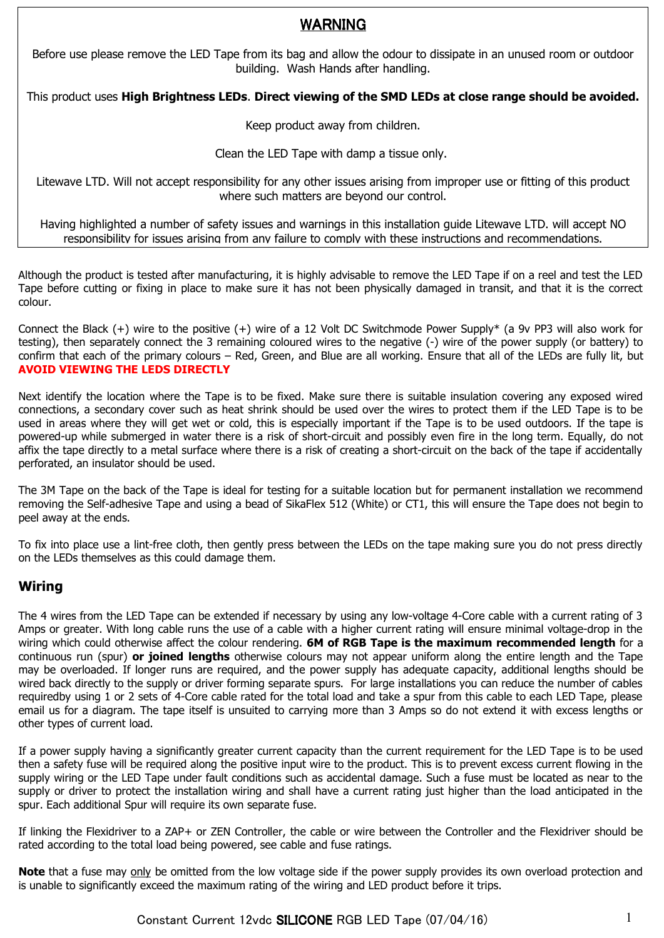# WARNING

Before use please remove the LED Tape from its bag and allow the odour to dissipate in an unused room or outdoor building. Wash Hands after handling.

This product uses **High Brightness LEDs**. **Direct viewing of the SMD LEDs at close range should be avoided.**

Keep product away from children.

Clean the LED Tape with damp a tissue only.

Litewave LTD. Will not accept responsibility for any other issues arising from improper use or fitting of this product where such matters are beyond our control.

Having highlighted a number of safety issues and warnings in this installation guide Litewave LTD. will accept NO responsibility for issues arising from any failure to comply with these instructions and recommendations.

Although the product is tested after manufacturing, it is highly advisable to remove the LED Tape if on a reel and test the LED Tape before cutting or fixing in place to make sure it has not been physically damaged in transit, and that it is the correct colour.

Connect the Black (+) wire to the positive (+) wire of a 12 Volt DC Switchmode Power Supply\* (a 9v PP3 will also work for testing), then separately connect the 3 remaining coloured wires to the negative (-) wire of the power supply (or battery) to confirm that each of the primary colours – Red, Green, and Blue are all working. Ensure that all of the LEDs are fully lit, but **AVOID VIEWING THE LEDS DIRECTLY**

Next identify the location where the Tape is to be fixed. Make sure there is suitable insulation covering any exposed wired connections, a secondary cover such as heat shrink should be used over the wires to protect them if the LED Tape is to be used in areas where they will get wet or cold, this is especially important if the Tape is to be used outdoors. If the tape is powered-up while submerged in water there is a risk of short-circuit and possibly even fire in the long term. Equally, do not affix the tape directly to a metal surface where there is a risk of creating a short-circuit on the back of the tape if accidentally perforated, an insulator should be used.

The 3M Tape on the back of the Tape is ideal for testing for a suitable location but for permanent installation we recommend removing the Self-adhesive Tape and using a bead of SikaFlex 512 (White) or CT1, this will ensure the Tape does not begin to peel away at the ends.

To fix into place use a lint-free cloth, then gently press between the LEDs on the tape making sure you do not press directly on the LEDs themselves as this could damage them.

## **Wiring**

The 4 wires from the LED Tape can be extended if necessary by using any low-voltage 4-Core cable with a current rating of 3 Amps or greater. With long cable runs the use of a cable with a higher current rating will ensure minimal voltage-drop in the wiring which could otherwise affect the colour rendering. **6M of RGB Tape is the maximum recommended length** for a continuous run (spur) **or joined lengths** otherwise colours may not appear uniform along the entire length and the Tape may be overloaded. If longer runs are required, and the power supply has adequate capacity, additional lengths should be wired back directly to the supply or driver forming separate spurs. For large installations you can reduce the number of cables requiredby using 1 or 2 sets of 4-Core cable rated for the total load and take a spur from this cable to each LED Tape, please email us for a diagram. The tape itself is unsuited to carrying more than 3 Amps so do not extend it with excess lengths or other types of current load.

If a power supply having a significantly greater current capacity than the current requirement for the LED Tape is to be used then a safety fuse will be required along the positive input wire to the product. This is to prevent excess current flowing in the supply wiring or the LED Tape under fault conditions such as accidental damage. Such a fuse must be located as near to the supply or driver to protect the installation wiring and shall have a current rating just higher than the load anticipated in the spur. Each additional Spur will require its own separate fuse.

If linking the Flexidriver to a ZAP+ or ZEN Controller, the cable or wire between the Controller and the Flexidriver should be rated according to the total load being powered, see cable and fuse ratings.

**Note** that a fuse may only be omitted from the low voltage side if the power supply provides its own overload protection and is unable to significantly exceed the maximum rating of the wiring and LED product before it trips.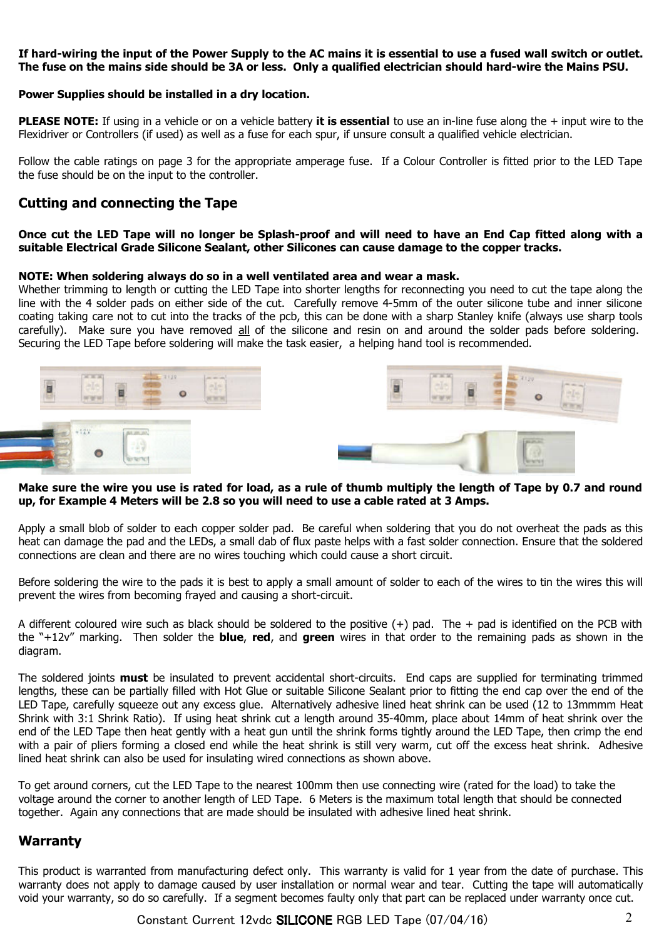### **If hard-wiring the input of the Power Supply to the AC mains it is essential to use a fused wall switch or outlet. The fuse on the mains side should be 3A or less. Only a qualified electrician should hard-wire the Mains PSU.**

#### **Power Supplies should be installed in a dry location.**

**PLEASE NOTE:** If using in a vehicle or on a vehicle battery **it is essential** to use an in-line fuse along the + input wire to the Flexidriver or Controllers (if used) as well as a fuse for each spur, if unsure consult a qualified vehicle electrician.

Follow the cable ratings on page 3 for the appropriate amperage fuse. If a Colour Controller is fitted prior to the LED Tape the fuse should be on the input to the controller.

### **Cutting and connecting the Tape**

#### **Once cut the LED Tape will no longer be Splash-proof and will need to have an End Cap fitted along with a suitable Electrical Grade Silicone Sealant, other Silicones can cause damage to the copper tracks.**

#### **NOTE: When soldering always do so in a well ventilated area and wear a mask.**

Whether trimming to length or cutting the LED Tape into shorter lengths for reconnecting you need to cut the tape along the line with the 4 solder pads on either side of the cut. Carefully remove 4-5mm of the outer silicone tube and inner silicone coating taking care not to cut into the tracks of the pcb, this can be done with a sharp Stanley knife (always use sharp tools carefully). Make sure you have removed all of the silicone and resin on and around the solder pads before soldering. Securing the LED Tape before soldering will make the task easier, a helping hand tool is recommended.



### **Make sure the wire you use is rated for load, as a rule of thumb multiply the length of Tape by 0.7 and round up, for Example 4 Meters will be 2.8 so you will need to use a cable rated at 3 Amps.**

Apply a small blob of solder to each copper solder pad. Be careful when soldering that you do not overheat the pads as this heat can damage the pad and the LEDs, a small dab of flux paste helps with a fast solder connection. Ensure that the soldered connections are clean and there are no wires touching which could cause a short circuit.

Before soldering the wire to the pads it is best to apply a small amount of solder to each of the wires to tin the wires this will prevent the wires from becoming frayed and causing a short-circuit.

A different coloured wire such as black should be soldered to the positive  $(+)$  pad. The  $+$  pad is identified on the PCB with the "+12v" marking. Then solder the **blue**, **red**, and **green** wires in that order to the remaining pads as shown in the diagram.

The soldered joints **must** be insulated to prevent accidental short-circuits. End caps are supplied for terminating trimmed lengths, these can be partially filled with Hot Glue or suitable Silicone Sealant prior to fitting the end cap over the end of the LED Tape, carefully squeeze out any excess glue. Alternatively adhesive lined heat shrink can be used (12 to 13mmmm Heat Shrink with 3:1 Shrink Ratio). If using heat shrink cut a length around 35-40mm, place about 14mm of heat shrink over the end of the LED Tape then heat gently with a heat gun until the shrink forms tightly around the LED Tape, then crimp the end with a pair of pliers forming a closed end while the heat shrink is still very warm, cut off the excess heat shrink. Adhesive lined heat shrink can also be used for insulating wired connections as shown above.

To get around corners, cut the LED Tape to the nearest 100mm then use connecting wire (rated for the load) to take the voltage around the corner to another length of LED Tape. 6 Meters is the maximum total length that should be connected together. Again any connections that are made should be insulated with adhesive lined heat shrink.

### **Warranty**

This product is warranted from manufacturing defect only. This warranty is valid for 1 year from the date of purchase. This warranty does not apply to damage caused by user installation or normal wear and tear. Cutting the tape will automatically void your warranty, so do so carefully. If a segment becomes faulty only that part can be replaced under warranty once cut.